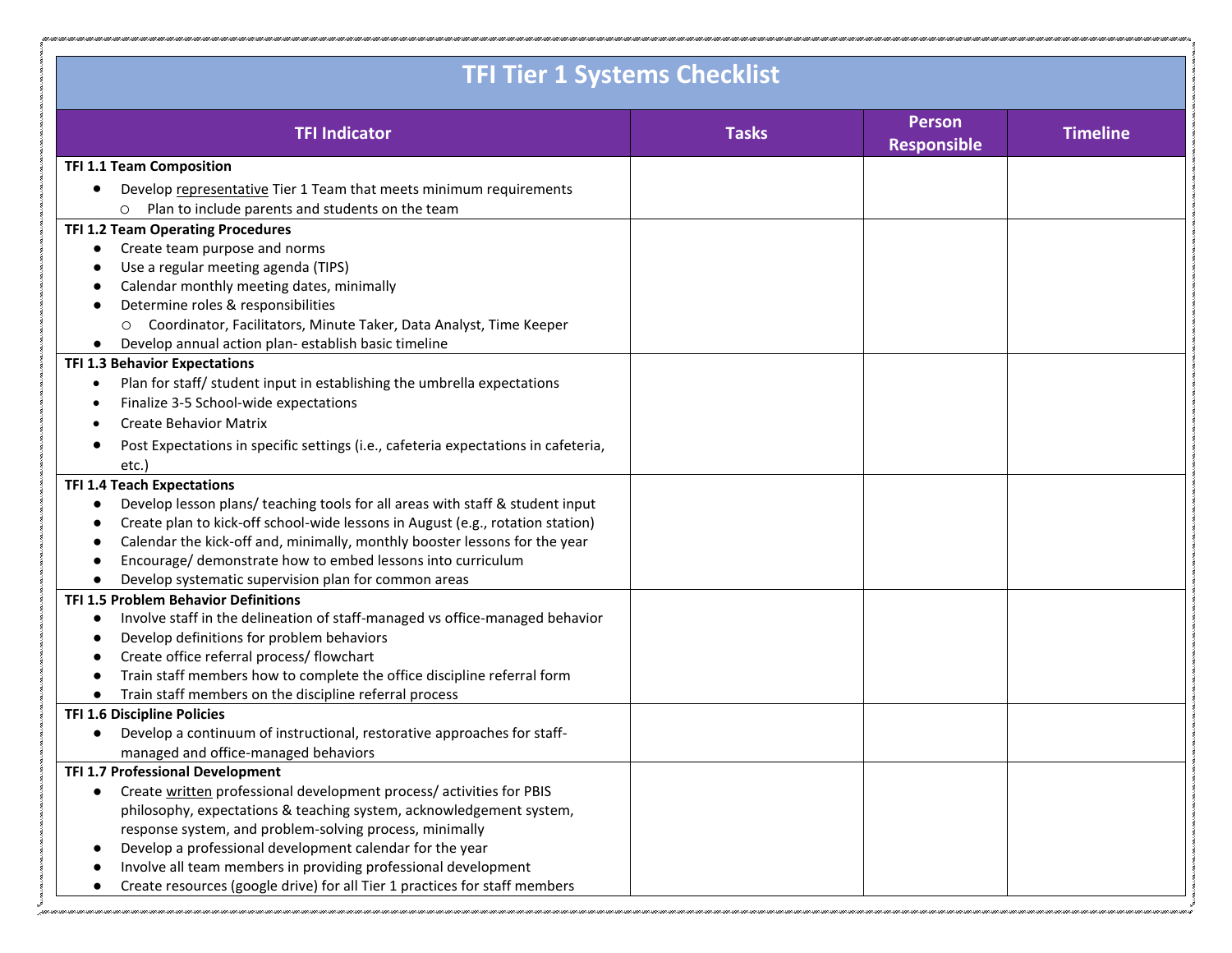| <b>TFI Tier 1 Systems Checklist</b>                                                       |              |                                     |                 |  |  |
|-------------------------------------------------------------------------------------------|--------------|-------------------------------------|-----------------|--|--|
| <b>TFI Indicator</b>                                                                      | <b>Tasks</b> | <b>Person</b><br><b>Responsible</b> | <b>Timeline</b> |  |  |
| TFI 1.1 Team Composition                                                                  |              |                                     |                 |  |  |
| Develop representative Tier 1 Team that meets minimum requirements                        |              |                                     |                 |  |  |
| Plan to include parents and students on the team<br>$\circ$                               |              |                                     |                 |  |  |
| TFI 1.2 Team Operating Procedures                                                         |              |                                     |                 |  |  |
| Create team purpose and norms<br>$\bullet$                                                |              |                                     |                 |  |  |
| Use a regular meeting agenda (TIPS)                                                       |              |                                     |                 |  |  |
| Calendar monthly meeting dates, minimally                                                 |              |                                     |                 |  |  |
| Determine roles & responsibilities                                                        |              |                                     |                 |  |  |
| Coordinator, Facilitators, Minute Taker, Data Analyst, Time Keeper<br>$\circ$             |              |                                     |                 |  |  |
| Develop annual action plan-establish basic timeline                                       |              |                                     |                 |  |  |
| <b>TFI 1.3 Behavior Expectations</b>                                                      |              |                                     |                 |  |  |
| Plan for staff/ student input in establishing the umbrella expectations<br>٠              |              |                                     |                 |  |  |
| Finalize 3-5 School-wide expectations                                                     |              |                                     |                 |  |  |
| <b>Create Behavior Matrix</b>                                                             |              |                                     |                 |  |  |
| Post Expectations in specific settings (i.e., cafeteria expectations in cafeteria,        |              |                                     |                 |  |  |
| etc.)                                                                                     |              |                                     |                 |  |  |
| <b>TFI 1.4 Teach Expectations</b>                                                         |              |                                     |                 |  |  |
| Develop lesson plans/ teaching tools for all areas with staff & student input             |              |                                     |                 |  |  |
| Create plan to kick-off school-wide lessons in August (e.g., rotation station)            |              |                                     |                 |  |  |
| Calendar the kick-off and, minimally, monthly booster lessons for the year                |              |                                     |                 |  |  |
| Encourage/ demonstrate how to embed lessons into curriculum                               |              |                                     |                 |  |  |
| Develop systematic supervision plan for common areas                                      |              |                                     |                 |  |  |
| TFI 1.5 Problem Behavior Definitions                                                      |              |                                     |                 |  |  |
| Involve staff in the delineation of staff-managed vs office-managed behavior<br>$\bullet$ |              |                                     |                 |  |  |
| Develop definitions for problem behaviors                                                 |              |                                     |                 |  |  |
| Create office referral process/ flowchart                                                 |              |                                     |                 |  |  |
| Train staff members how to complete the office discipline referral form                   |              |                                     |                 |  |  |
| Train staff members on the discipline referral process                                    |              |                                     |                 |  |  |
| <b>TFI 1.6 Discipline Policies</b>                                                        |              |                                     |                 |  |  |
| Develop a continuum of instructional, restorative approaches for staff-<br>$\bullet$      |              |                                     |                 |  |  |
| managed and office-managed behaviors                                                      |              |                                     |                 |  |  |
| TFI 1.7 Professional Development                                                          |              |                                     |                 |  |  |
| Create written professional development process/ activities for PBIS                      |              |                                     |                 |  |  |
| philosophy, expectations & teaching system, acknowledgement system,                       |              |                                     |                 |  |  |
| response system, and problem-solving process, minimally                                   |              |                                     |                 |  |  |
| Develop a professional development calendar for the year                                  |              |                                     |                 |  |  |
| Involve all team members in providing professional development                            |              |                                     |                 |  |  |
| Create resources (google drive) for all Tier 1 practices for staff members                |              |                                     |                 |  |  |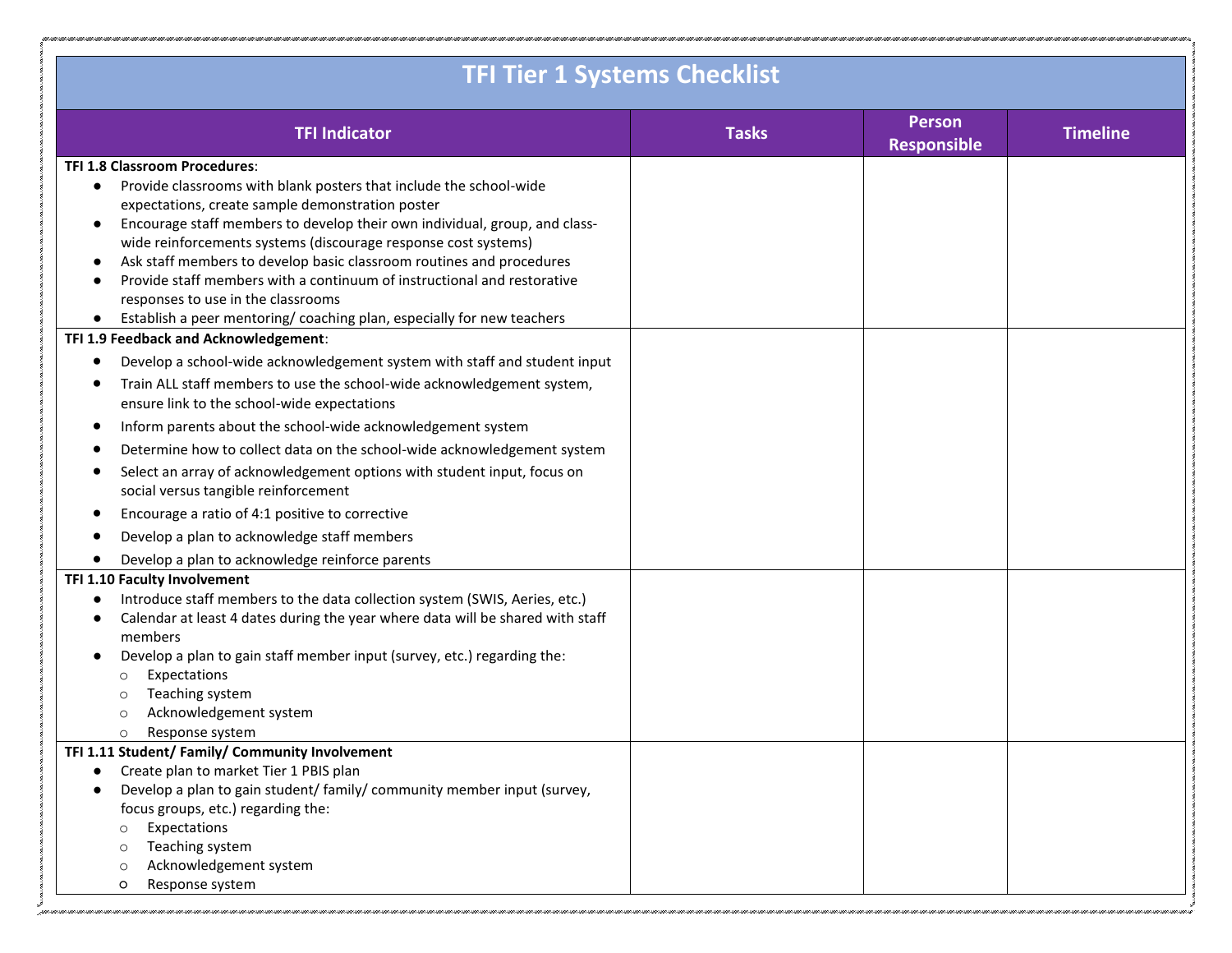| <b>TFI Indicator</b>                                                                                            | <b>Tasks</b> | <b>Person</b><br><b>Responsible</b> | <b>Timeline</b> |
|-----------------------------------------------------------------------------------------------------------------|--------------|-------------------------------------|-----------------|
| TFI 1.8 Classroom Procedures:                                                                                   |              |                                     |                 |
| Provide classrooms with blank posters that include the school-wide                                              |              |                                     |                 |
| expectations, create sample demonstration poster                                                                |              |                                     |                 |
| Encourage staff members to develop their own individual, group, and class-                                      |              |                                     |                 |
| wide reinforcements systems (discourage response cost systems)                                                  |              |                                     |                 |
| Ask staff members to develop basic classroom routines and procedures                                            |              |                                     |                 |
| Provide staff members with a continuum of instructional and restorative                                         |              |                                     |                 |
| responses to use in the classrooms                                                                              |              |                                     |                 |
| Establish a peer mentoring/ coaching plan, especially for new teachers<br>TFI 1.9 Feedback and Acknowledgement: |              |                                     |                 |
|                                                                                                                 |              |                                     |                 |
| Develop a school-wide acknowledgement system with staff and student input<br>$\bullet$                          |              |                                     |                 |
| Train ALL staff members to use the school-wide acknowledgement system,                                          |              |                                     |                 |
| ensure link to the school-wide expectations                                                                     |              |                                     |                 |
| Inform parents about the school-wide acknowledgement system                                                     |              |                                     |                 |
| Determine how to collect data on the school-wide acknowledgement system                                         |              |                                     |                 |
| Select an array of acknowledgement options with student input, focus on                                         |              |                                     |                 |
| social versus tangible reinforcement                                                                            |              |                                     |                 |
| Encourage a ratio of 4:1 positive to corrective                                                                 |              |                                     |                 |
| Develop a plan to acknowledge staff members                                                                     |              |                                     |                 |
| Develop a plan to acknowledge reinforce parents                                                                 |              |                                     |                 |
| TFI 1.10 Faculty Involvement                                                                                    |              |                                     |                 |
| Introduce staff members to the data collection system (SWIS, Aeries, etc.)                                      |              |                                     |                 |
| Calendar at least 4 dates during the year where data will be shared with staff                                  |              |                                     |                 |
| members                                                                                                         |              |                                     |                 |
| Develop a plan to gain staff member input (survey, etc.) regarding the:                                         |              |                                     |                 |
| Expectations<br>$\circ$                                                                                         |              |                                     |                 |
| Teaching system<br>$\circ$                                                                                      |              |                                     |                 |
| Acknowledgement system<br>$\circ$                                                                               |              |                                     |                 |
| Response system<br>$\circ$                                                                                      |              |                                     |                 |
| TFI 1.11 Student/ Family/ Community Involvement<br>Create plan to market Tier 1 PBIS plan                       |              |                                     |                 |
| Develop a plan to gain student/ family/ community member input (survey,                                         |              |                                     |                 |
| focus groups, etc.) regarding the:                                                                              |              |                                     |                 |
| Expectations<br>$\circ$                                                                                         |              |                                     |                 |
| Teaching system                                                                                                 |              |                                     |                 |
| Acknowledgement system<br>$\circ$                                                                               |              |                                     |                 |
| Response system<br>O                                                                                            |              |                                     |                 |